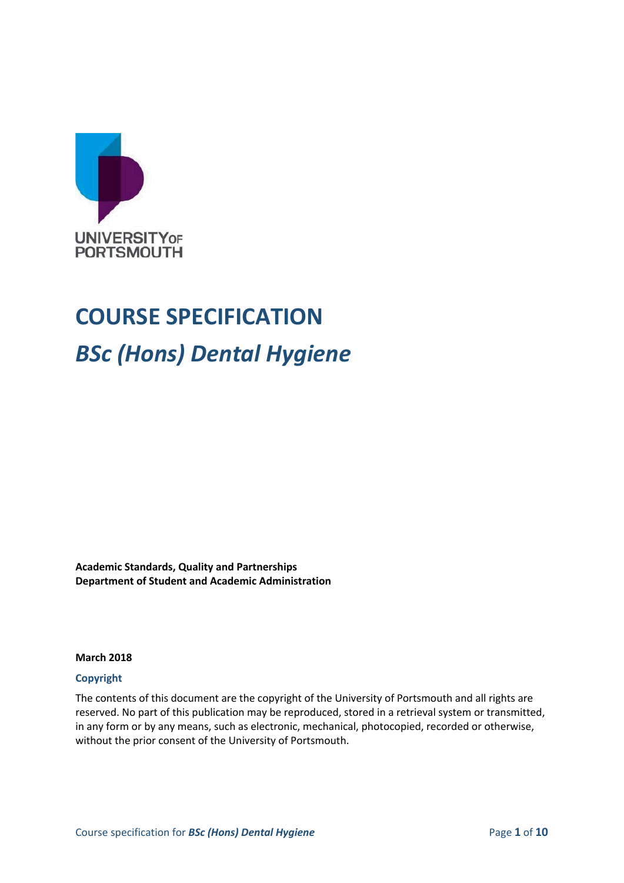

# **COURSE SPECIFICATION** *BSc (Hons) Dental Hygiene*

**Academic Standards, Quality and Partnerships Department of Student and Academic Administration**

**March 2018**

## **Copyright**

The contents of this document are the copyright of the University of Portsmouth and all rights are reserved. No part of this publication may be reproduced, stored in a retrieval system or transmitted, in any form or by any means, such as electronic, mechanical, photocopied, recorded or otherwise, without the prior consent of the University of Portsmouth.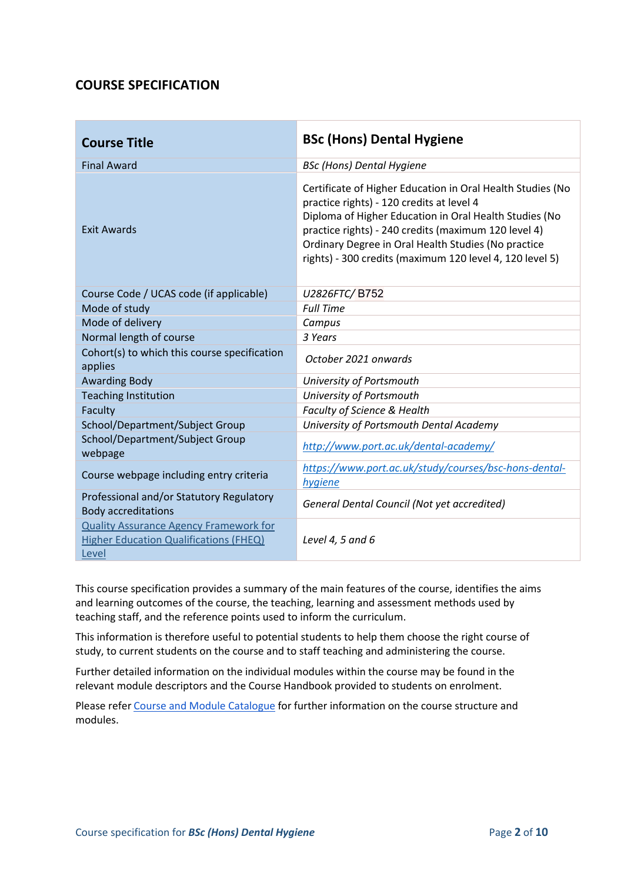# **COURSE SPECIFICATION**

| <b>Course Title</b>                                                                                     | <b>BSc (Hons) Dental Hygiene</b>                                                                                                                                                                                                                                                                                                             |
|---------------------------------------------------------------------------------------------------------|----------------------------------------------------------------------------------------------------------------------------------------------------------------------------------------------------------------------------------------------------------------------------------------------------------------------------------------------|
| <b>Final Award</b>                                                                                      | <b>BSc (Hons) Dental Hygiene</b>                                                                                                                                                                                                                                                                                                             |
| <b>Exit Awards</b>                                                                                      | Certificate of Higher Education in Oral Health Studies (No<br>practice rights) - 120 credits at level 4<br>Diploma of Higher Education in Oral Health Studies (No<br>practice rights) - 240 credits (maximum 120 level 4)<br>Ordinary Degree in Oral Health Studies (No practice<br>rights) - 300 credits (maximum 120 level 4, 120 level 5) |
| Course Code / UCAS code (if applicable)                                                                 | U2826FTC/B752                                                                                                                                                                                                                                                                                                                                |
| Mode of study                                                                                           | <b>Full Time</b>                                                                                                                                                                                                                                                                                                                             |
| Mode of delivery                                                                                        | Campus                                                                                                                                                                                                                                                                                                                                       |
| Normal length of course                                                                                 | 3 Years                                                                                                                                                                                                                                                                                                                                      |
| Cohort(s) to which this course specification<br>applies                                                 | October 2021 onwards                                                                                                                                                                                                                                                                                                                         |
| <b>Awarding Body</b>                                                                                    | University of Portsmouth                                                                                                                                                                                                                                                                                                                     |
| <b>Teaching Institution</b>                                                                             | University of Portsmouth                                                                                                                                                                                                                                                                                                                     |
| Faculty                                                                                                 | <b>Faculty of Science &amp; Health</b>                                                                                                                                                                                                                                                                                                       |
| School/Department/Subject Group                                                                         | University of Portsmouth Dental Academy                                                                                                                                                                                                                                                                                                      |
| School/Department/Subject Group<br>webpage                                                              | http://www.port.ac.uk/dental-academy/                                                                                                                                                                                                                                                                                                        |
| Course webpage including entry criteria                                                                 | https://www.port.ac.uk/study/courses/bsc-hons-dental-<br>hygiene                                                                                                                                                                                                                                                                             |
| Professional and/or Statutory Regulatory<br><b>Body accreditations</b>                                  | <b>General Dental Council (Not yet accredited)</b>                                                                                                                                                                                                                                                                                           |
| <b>Quality Assurance Agency Framework for</b><br><b>Higher Education Qualifications (FHEQ)</b><br>Level | Level 4, 5 and 6                                                                                                                                                                                                                                                                                                                             |

This course specification provides a summary of the main features of the course, identifies the aims and learning outcomes of the course, the teaching, learning and assessment methods used by teaching staff, and the reference points used to inform the curriculum.

This information is therefore useful to potential students to help them choose the right course of study, to current students on the course and to staff teaching and administering the course.

Further detailed information on the individual modules within the course may be found in the relevant module descriptors and the Course Handbook provided to students on enrolment.

Please refe[r Course and Module Catalogue](https://course-module-catalog.port.ac.uk/#/welcome) for further information on the course structure and modules.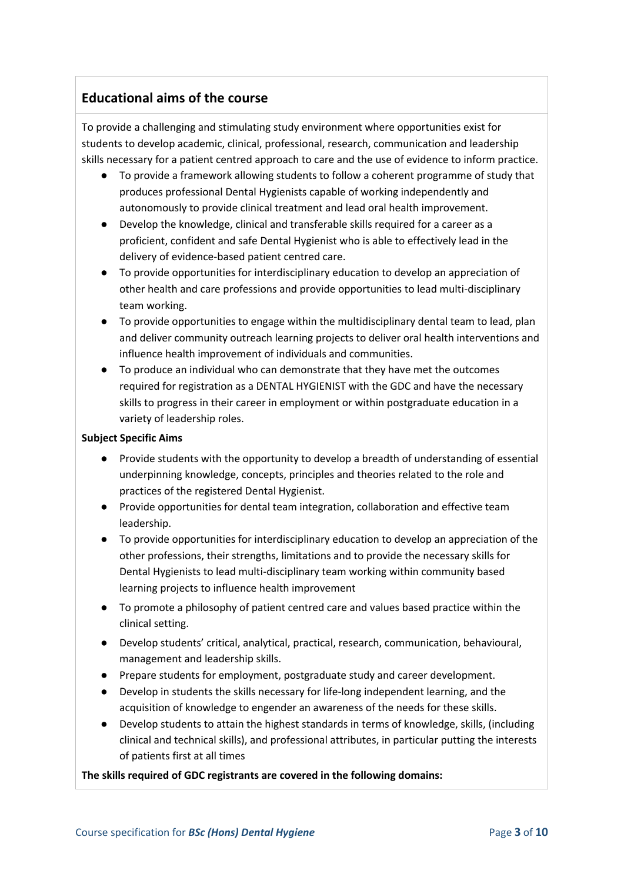# **Educational aims of the course**

To provide a challenging and stimulating study environment where opportunities exist for students to develop academic, clinical, professional, research, communication and leadership skills necessary for a patient centred approach to care and the use of evidence to inform practice.

- To provide a framework allowing students to follow a coherent programme of study that produces professional Dental Hygienists capable of working independently and autonomously to provide clinical treatment and lead oral health improvement.
- Develop the knowledge, clinical and transferable skills required for a career as a proficient, confident and safe Dental Hygienist who is able to effectively lead in the delivery of evidence-based patient centred care.
- To provide opportunities for interdisciplinary education to develop an appreciation of other health and care professions and provide opportunities to lead multi-disciplinary team working.
- To provide opportunities to engage within the multidisciplinary dental team to lead, plan and deliver community outreach learning projects to deliver oral health interventions and influence health improvement of individuals and communities.
- To produce an individual who can demonstrate that they have met the outcomes required for registration as a DENTAL HYGIENIST with the GDC and have the necessary skills to progress in their career in employment or within postgraduate education in a variety of leadership roles.

## **Subject Specific Aims**

- Provide students with the opportunity to develop a breadth of understanding of essential underpinning knowledge, concepts, principles and theories related to the role and practices of the registered Dental Hygienist.
- Provide opportunities for dental team integration, collaboration and effective team leadership.
- To provide opportunities for interdisciplinary education to develop an appreciation of the other professions, their strengths, limitations and to provide the necessary skills for Dental Hygienists to lead multi-disciplinary team working within community based learning projects to influence health improvement
- To promote a philosophy of patient centred care and values based practice within the clinical setting.
- Develop students' critical, analytical, practical, research, communication, behavioural, management and leadership skills.
- Prepare students for employment, postgraduate study and career development.
- Develop in students the skills necessary for life-long independent learning, and the acquisition of knowledge to engender an awareness of the needs for these skills.
- Develop students to attain the highest standards in terms of knowledge, skills, (including clinical and technical skills), and professional attributes, in particular putting the interests of patients first at all times

### **The skills required of GDC registrants are covered in the following domains:**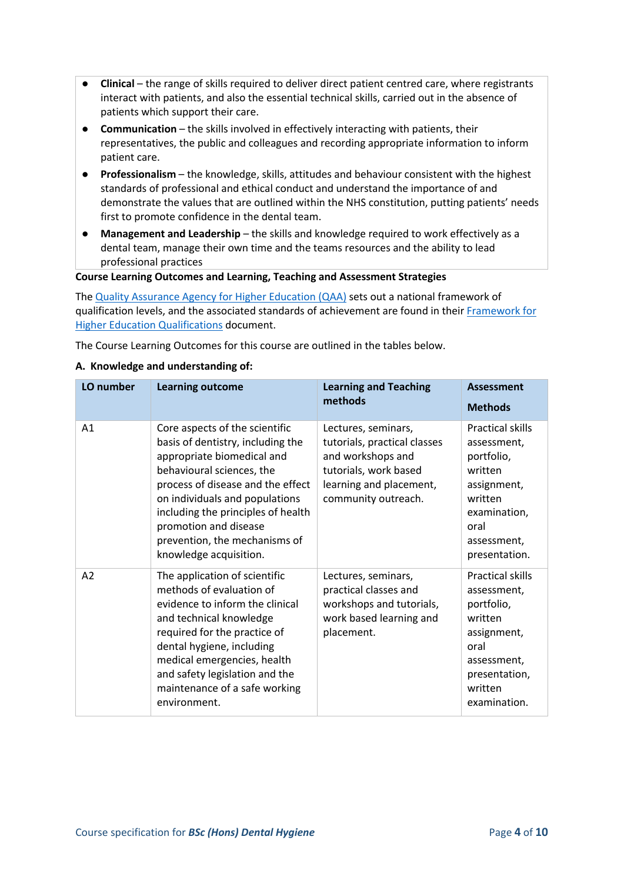- **• Clinical** the range of skills required to deliver direct patient centred care, where registrants interact with patients, and also the essential technical skills, carried out in the absence of patients which support their care.
- **Communication**  the skills involved in effectively interacting with patients, their representatives, the public and colleagues and recording appropriate information to inform patient care.
- **Professionalism** the knowledge, skills, attitudes and behaviour consistent with the highest standards of professional and ethical conduct and understand the importance of and demonstrate the values that are outlined within the NHS constitution, putting patients' needs first to promote confidence in the dental team.
- **Management and Leadership** the skills and knowledge required to work effectively as a dental team, manage their own time and the teams resources and the ability to lead professional practices

**Course Learning Outcomes and Learning, Teaching and Assessment Strategies**

The [Quality Assurance Agency for Higher Education \(QAA\)](http://www.qaa.ac.uk/en) sets out a national framework of qualification levels, and the associated standards of achievement are found in their [Framework for](https://www.qaa.ac.uk/en/quality-code/qualifications-and-credit-frameworks)  [Higher Education Qualifications](https://www.qaa.ac.uk/en/quality-code/qualifications-and-credit-frameworks) document.

The Course Learning Outcomes for this course are outlined in the tables below.

#### **A. Knowledge and understanding of:**

| LO number | <b>Learning outcome</b>                                                                                                                                                                                                                                                                                                         | <b>Learning and Teaching</b><br>methods                                                                                                             | <b>Assessment</b><br><b>Methods</b>                                                                                                               |
|-----------|---------------------------------------------------------------------------------------------------------------------------------------------------------------------------------------------------------------------------------------------------------------------------------------------------------------------------------|-----------------------------------------------------------------------------------------------------------------------------------------------------|---------------------------------------------------------------------------------------------------------------------------------------------------|
| A1        | Core aspects of the scientific<br>basis of dentistry, including the<br>appropriate biomedical and<br>behavioural sciences, the<br>process of disease and the effect<br>on individuals and populations<br>including the principles of health<br>promotion and disease<br>prevention, the mechanisms of<br>knowledge acquisition. | Lectures, seminars,<br>tutorials, practical classes<br>and workshops and<br>tutorials, work based<br>learning and placement,<br>community outreach. | <b>Practical skills</b><br>assessment,<br>portfolio,<br>written<br>assignment,<br>written<br>examination,<br>oral<br>assessment,<br>presentation. |
| A2        | The application of scientific<br>methods of evaluation of<br>evidence to inform the clinical<br>and technical knowledge<br>required for the practice of<br>dental hygiene, including<br>medical emergencies, health<br>and safety legislation and the<br>maintenance of a safe working<br>environment.                          | Lectures, seminars,<br>practical classes and<br>workshops and tutorials,<br>work based learning and<br>placement.                                   | <b>Practical skills</b><br>assessment,<br>portfolio,<br>written<br>assignment,<br>oral<br>assessment,<br>presentation,<br>written<br>examination. |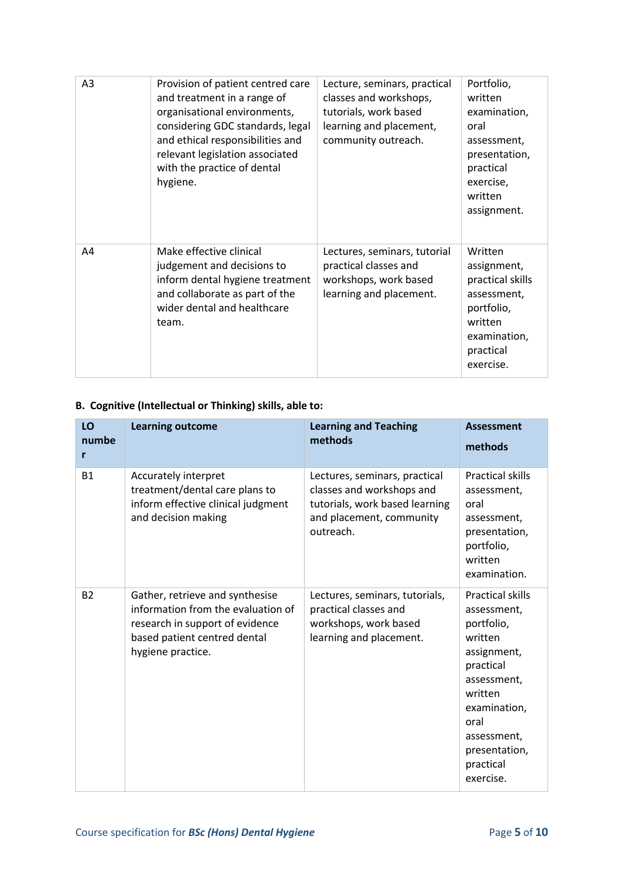| A3 | Provision of patient centred care<br>and treatment in a range of<br>organisational environments,<br>considering GDC standards, legal<br>and ethical responsibilities and<br>relevant legislation associated<br>with the practice of dental<br>hygiene. | Lecture, seminars, practical<br>classes and workshops,<br>tutorials, work based<br>learning and placement,<br>community outreach. | Portfolio,<br>written<br>examination,<br>oral<br>assessment,<br>presentation,<br>practical<br>exercise,<br>written<br>assignment. |
|----|--------------------------------------------------------------------------------------------------------------------------------------------------------------------------------------------------------------------------------------------------------|-----------------------------------------------------------------------------------------------------------------------------------|-----------------------------------------------------------------------------------------------------------------------------------|
| A4 | Make effective clinical<br>judgement and decisions to<br>inform dental hygiene treatment<br>and collaborate as part of the<br>wider dental and healthcare<br>team.                                                                                     | Lectures, seminars, tutorial<br>practical classes and<br>workshops, work based<br>learning and placement.                         | Written<br>assignment,<br>practical skills<br>assessment,<br>portfolio,<br>written<br>examination,<br>practical<br>exercise.      |

# **B. Cognitive (Intellectual or Thinking) skills, able to:**

| LO<br>numbe<br>r | <b>Learning outcome</b>                                                                                                                                       | <b>Learning and Teaching</b><br>methods                                                                                               | <b>Assessment</b><br>methods                                                                                                                                                                            |
|------------------|---------------------------------------------------------------------------------------------------------------------------------------------------------------|---------------------------------------------------------------------------------------------------------------------------------------|---------------------------------------------------------------------------------------------------------------------------------------------------------------------------------------------------------|
| <b>B1</b>        | Accurately interpret<br>treatment/dental care plans to<br>inform effective clinical judgment<br>and decision making                                           | Lectures, seminars, practical<br>classes and workshops and<br>tutorials, work based learning<br>and placement, community<br>outreach. | <b>Practical skills</b><br>assessment,<br>oral<br>assessment,<br>presentation,<br>portfolio,<br>written<br>examination.                                                                                 |
| <b>B2</b>        | Gather, retrieve and synthesise<br>information from the evaluation of<br>research in support of evidence<br>based patient centred dental<br>hygiene practice. | Lectures, seminars, tutorials,<br>practical classes and<br>workshops, work based<br>learning and placement.                           | <b>Practical skills</b><br>assessment,<br>portfolio,<br>written<br>assignment,<br>practical<br>assessment,<br>written<br>examination,<br>oral<br>assessment,<br>presentation,<br>practical<br>exercise. |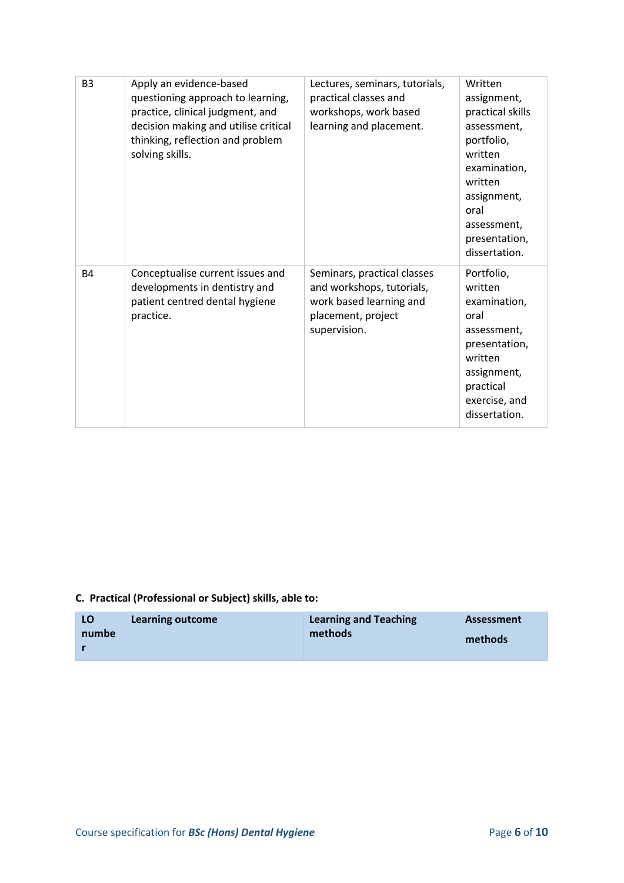| B <sub>3</sub> | Apply an evidence-based<br>questioning approach to learning,<br>practice, clinical judgment, and<br>decision making and utilise critical<br>thinking, reflection and problem<br>solving skills. | Lectures, seminars, tutorials,<br>practical classes and<br>workshops, work based<br>learning and placement.               | Written<br>assignment,<br>practical skills<br>assessment,<br>portfolio,<br>written<br>examination,<br>written<br>assignment,<br>oral<br>assessment,<br>presentation,<br>dissertation. |
|----------------|-------------------------------------------------------------------------------------------------------------------------------------------------------------------------------------------------|---------------------------------------------------------------------------------------------------------------------------|---------------------------------------------------------------------------------------------------------------------------------------------------------------------------------------|
| <b>B4</b>      | Conceptualise current issues and<br>developments in dentistry and<br>patient centred dental hygiene<br>practice.                                                                                | Seminars, practical classes<br>and workshops, tutorials,<br>work based learning and<br>placement, project<br>supervision. | Portfolio,<br>written<br>examination,<br>oral<br>assessment,<br>presentation,<br>written<br>assignment,<br>practical<br>exercise, and<br>dissertation.                                |

# **C. Practical (Professional or Subject) skills, able to:**

| LO    | Learning outcome | <b>Learning and Teaching</b> | Assessment |
|-------|------------------|------------------------------|------------|
| numbe |                  | methods                      | methods    |
|       |                  |                              |            |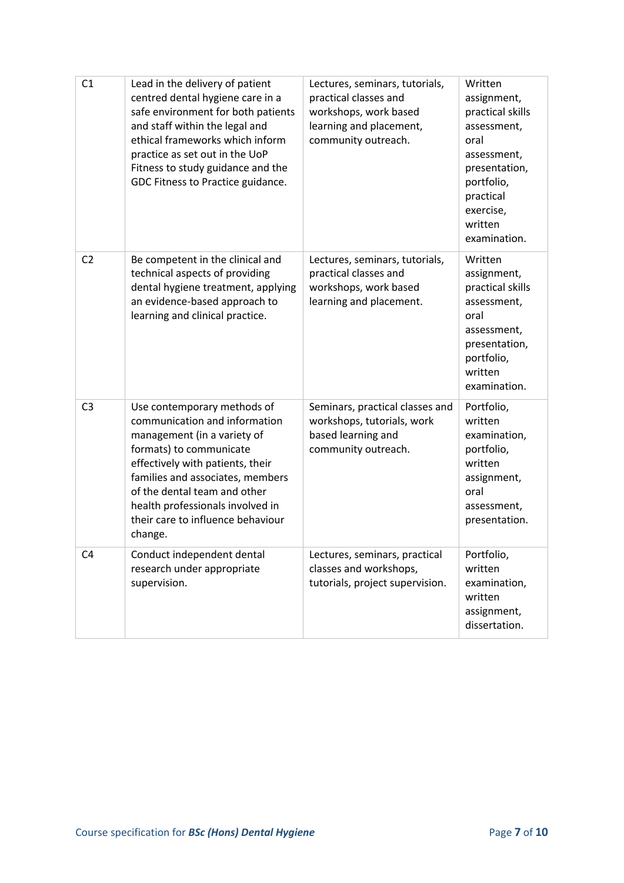| C <sub>1</sub> | Lead in the delivery of patient<br>centred dental hygiene care in a<br>safe environment for both patients<br>and staff within the legal and<br>ethical frameworks which inform<br>practice as set out in the UoP<br>Fitness to study guidance and the<br>GDC Fitness to Practice guidance.                         | Lectures, seminars, tutorials,<br>practical classes and<br>workshops, work based<br>learning and placement,<br>community outreach. | Written<br>assignment,<br>practical skills<br>assessment,<br>oral<br>assessment,<br>presentation,<br>portfolio,<br>practical<br>exercise,<br>written<br>examination. |
|----------------|--------------------------------------------------------------------------------------------------------------------------------------------------------------------------------------------------------------------------------------------------------------------------------------------------------------------|------------------------------------------------------------------------------------------------------------------------------------|----------------------------------------------------------------------------------------------------------------------------------------------------------------------|
| C <sub>2</sub> | Be competent in the clinical and<br>technical aspects of providing<br>dental hygiene treatment, applying<br>an evidence-based approach to<br>learning and clinical practice.                                                                                                                                       | Lectures, seminars, tutorials,<br>practical classes and<br>workshops, work based<br>learning and placement.                        | Written<br>assignment,<br>practical skills<br>assessment,<br>oral<br>assessment,<br>presentation,<br>portfolio,<br>written<br>examination.                           |
| C <sub>3</sub> | Use contemporary methods of<br>communication and information<br>management (in a variety of<br>formats) to communicate<br>effectively with patients, their<br>families and associates, members<br>of the dental team and other<br>health professionals involved in<br>their care to influence behaviour<br>change. | Seminars, practical classes and<br>workshops, tutorials, work<br>based learning and<br>community outreach.                         | Portfolio,<br>written<br>examination,<br>portfolio,<br>written<br>assignment,<br>oral<br>assessment,<br>presentation.                                                |
| C <sub>4</sub> | Conduct independent dental<br>research under appropriate<br>supervision.                                                                                                                                                                                                                                           | Lectures, seminars, practical<br>classes and workshops,<br>tutorials, project supervision.                                         | Portfolio,<br>written<br>examination,<br>written<br>assignment,<br>dissertation.                                                                                     |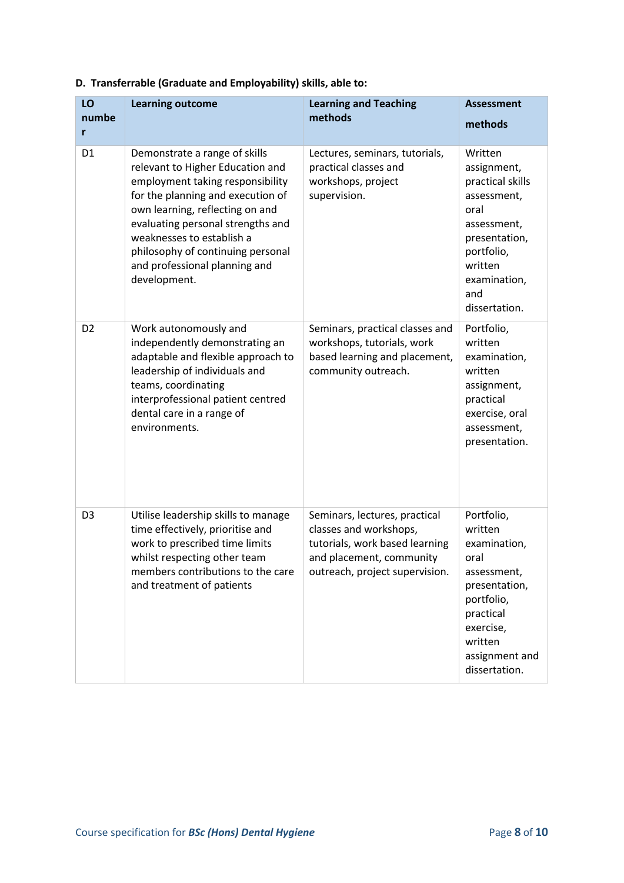| LO<br>numbe<br>r | <b>Learning outcome</b>                                                                                                                                                                                                                                                                                                               | <b>Learning and Teaching</b><br>methods                                                                                                                 | <b>Assessment</b><br>methods                                                                                                                                        |
|------------------|---------------------------------------------------------------------------------------------------------------------------------------------------------------------------------------------------------------------------------------------------------------------------------------------------------------------------------------|---------------------------------------------------------------------------------------------------------------------------------------------------------|---------------------------------------------------------------------------------------------------------------------------------------------------------------------|
| D <sub>1</sub>   | Demonstrate a range of skills<br>relevant to Higher Education and<br>employment taking responsibility<br>for the planning and execution of<br>own learning, reflecting on and<br>evaluating personal strengths and<br>weaknesses to establish a<br>philosophy of continuing personal<br>and professional planning and<br>development. | Lectures, seminars, tutorials,<br>practical classes and<br>workshops, project<br>supervision.                                                           | Written<br>assignment,<br>practical skills<br>assessment,<br>oral<br>assessment,<br>presentation,<br>portfolio,<br>written<br>examination,<br>and<br>dissertation.  |
| D <sub>2</sub>   | Work autonomously and<br>independently demonstrating an<br>adaptable and flexible approach to<br>leadership of individuals and<br>teams, coordinating<br>interprofessional patient centred<br>dental care in a range of<br>environments.                                                                                              | Seminars, practical classes and<br>workshops, tutorials, work<br>based learning and placement,<br>community outreach.                                   | Portfolio,<br>written<br>examination,<br>written<br>assignment,<br>practical<br>exercise, oral<br>assessment,<br>presentation.                                      |
| D <sub>3</sub>   | Utilise leadership skills to manage<br>time effectively, prioritise and<br>work to prescribed time limits<br>whilst respecting other team<br>members contributions to the care<br>and treatment of patients                                                                                                                           | Seminars, lectures, practical<br>classes and workshops,<br>tutorials, work based learning<br>and placement, community<br>outreach, project supervision. | Portfolio,<br>written<br>examination,<br>oral<br>assessment,<br>presentation,<br>portfolio,<br>practical<br>exercise,<br>written<br>assignment and<br>dissertation. |

**D. Transferrable (Graduate and Employability) skills, able to:**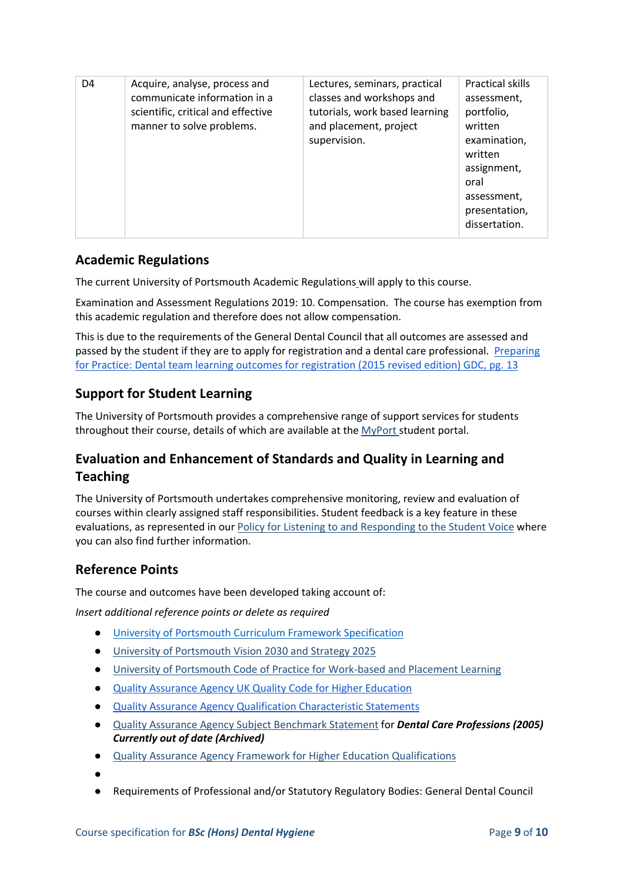| D4 | Acquire, analyse, process and<br>communicate information in a<br>scientific, critical and effective<br>manner to solve problems. | Lectures, seminars, practical<br>classes and workshops and<br>tutorials, work based learning<br>and placement, project<br>supervision. | <b>Practical skills</b><br>assessment,<br>portfolio,<br>written<br>examination,<br>written<br>assignment,<br>oral<br>assessment,<br>presentation,<br>dissertation. |
|----|----------------------------------------------------------------------------------------------------------------------------------|----------------------------------------------------------------------------------------------------------------------------------------|--------------------------------------------------------------------------------------------------------------------------------------------------------------------|
|----|----------------------------------------------------------------------------------------------------------------------------------|----------------------------------------------------------------------------------------------------------------------------------------|--------------------------------------------------------------------------------------------------------------------------------------------------------------------|

# **Academic Regulations**

The current University of Portsmouth Academic Regulations will apply to this course.

Examination and Assessment Regulations 2019: 10. Compensation. The course has exemption from this academic regulation and therefore does not allow compensation.

This is due to the requirements of the General Dental Council that all outcomes are assessed and passed by the student if they are to apply for registration and a dental care professional. [Preparing](https://www.gdc-uk.org/docs/default-source/registration-for-dcps-qualified-overseas/preparing-for-practice-(revised-2015)-(3)9cfe2565e7814f6b89ff98149f436bc7.pdf?sfvrsn=ab3900f4_7)  [for Practice: Dental team learning outcomes for registration \(2015 revised edition\) GDC, pg. 13](https://www.gdc-uk.org/docs/default-source/registration-for-dcps-qualified-overseas/preparing-for-practice-(revised-2015)-(3)9cfe2565e7814f6b89ff98149f436bc7.pdf?sfvrsn=ab3900f4_7)

# **Support for Student Learning**

The University of Portsmouth provides a comprehensive range of support services for students throughout their course, details of which are available at the [MyPort](http://myport.ac.uk/) student portal.

# **Evaluation and Enhancement of Standards and Quality in Learning and Teaching**

The University of Portsmouth undertakes comprehensive monitoring, review and evaluation of courses within clearly assigned staff responsibilities. Student feedback is a key feature in these evaluations, as represented in ou[r Policy for Listening to and Responding to the Student Voice](http://policies.docstore.port.ac.uk/policy-069.pdf) where you can also find further information.

# **Reference Points**

The course and outcomes have been developed taking account of:

*Insert additional reference points or delete as required*

- [University of Portsmouth Curriculum Framework Specification](http://policies.docstore.port.ac.uk/policy-217.pdf?_ga=2.80596127.988573471.1600698712-86764541.1593710288)
- [University of Portsmouth Vision 2030 and Strategy 2025](https://view.joomag.com/university-vision-2030-and-strategy-2025-cc-698-1219-strategy-brochure-2030-joomag-small-2/0639814001578570968)
- [University of Portsmouth Code of Practice for Work-based and Placement Learning](http://policies.docstore.port.ac.uk/policy-151.pdf)
- [Quality Assurance Agency UK Quality Code for Higher Education](https://www.qaa.ac.uk/quality-code)
- [Quality Assurance Agency Qualification Characteristic Statements](https://www.qaa.ac.uk/quality-code/characteristics-statements)
- [Quality Assurance Agency Subject Benchmark Statement](https://www.qaa.ac.uk/quality-code/subject-benchmark-statements) for *Dental Care Professions (2005) Currently out of date (Archived)*
- [Quality Assurance Agency Framework for Higher Education Qualifications](https://www.qaa.ac.uk/en/quality-code/qualifications-and-credit-frameworks)

●

● Requirements of Professional and/or Statutory Regulatory Bodies: General Dental Council